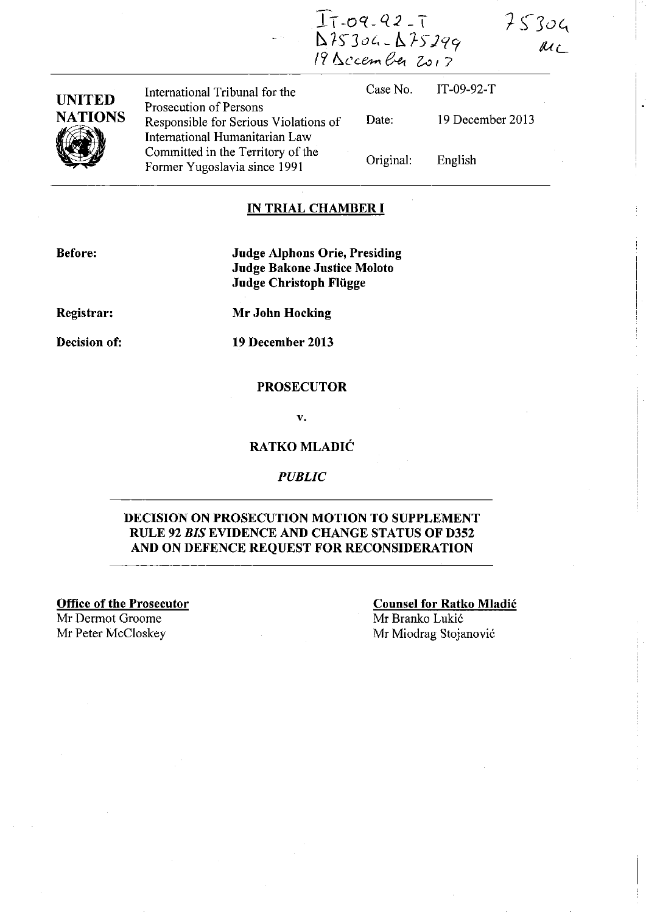$75304$  $\mu$ 

| <b>UNITED</b><br><b>NATIONS</b><br>K | International Tribunal for the                                                                    | Case No.  | IT-09-92-T       |
|--------------------------------------|---------------------------------------------------------------------------------------------------|-----------|------------------|
|                                      | Prosecution of Persons<br>Responsible for Serious Violations of<br>International Humanitarian Law | Date:     | 19 December 2013 |
|                                      | Committed in the Territory of the<br>Former Yugoslavia since 1991                                 | Original: | English          |

 $17 -09 - 92 - 1$ 

<sup>~</sup>*f)"JoL.* - b.. *I-Y)'19*   $19$  Becember  $2012$ 

### **IN TRIAL CHAMBER I**

**Before:** 

**Judge A1phons Orie, Presiding Judge Bakone Justice Moloto Judge Christoph Fliigge** 

**Registrar:** 

**Decision of:** 

**Mr John Hocking** 

**19 December 2013** 

#### **PROSECUTOR**

**v.** 

## **RATKO MLADIC**

*PUBLIC* 

## **DECISION ON PROSECUTION MOTION TO SUPPLEMENT RULE 92** *BIS* **EVIDENCE AND CHANGE STATUS OF 0352 AND ON DEFENCE REQUEST FOR RECONSIDERATION**

**Office of the Prosecutor**  Mr Dermot Groome

**Counsel for Ratko Mladic**  Mr Branko Lukić Mr Peter McCloskey Mr Miodrag Stojanović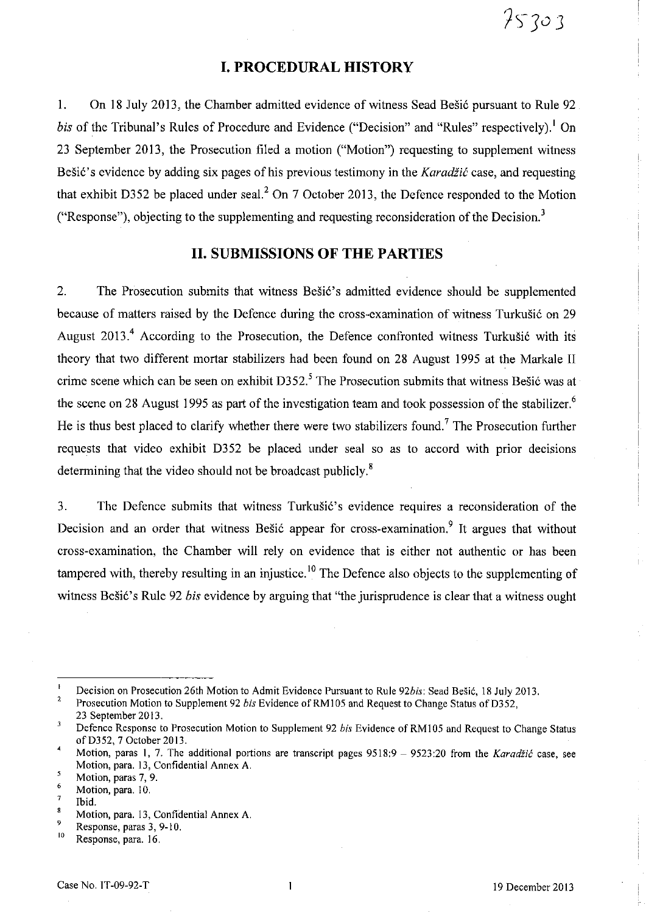# **I. PROCEDURAL HISTORY**

1. On 18 July 2013, the Chamber admitted evidence of witness Sead Bešić pursuant to Rule 92. *bis* of the Tribunal's Rules of Procedure and Evidence ("Decision" and "Rules" respectively). On 23 September 2013, the Prosecution filed a motion ("Motion") requesting to supplement witness Bešić's evidence by adding six pages of his previous testimony in the *Karadžić* case, and requesting that exhibit D352 be placed under seal.<sup>2</sup> On 7 October 2013, the Defence responded to the Motion ("Response"), objecting to the supplementing and requesting reconsideration of the Decision.<sup>3</sup>

# **11. SUBMISSIONS OF THE PARTIES**

2. The Prosecution submits that witness Bešić's admitted evidence should be supplemented because of matters raised by the Defence during the cross-examination of witness Turkušić on 29 August 2013.<sup>4</sup> According to the Prosecution, the Defence confronted witness Turkušić with its theory that two different mortar stabilizers had been found on 28 August 1995 at the Markale II crime scene which can be seen on exhibit D352.<sup>5</sup> The Prosecution submits that witness Bešić was at the scene on 28 August 1995 as part of the investigation team and took possession of the stabilizer.<sup>6</sup> He is thus best placed to clarify whether there were two stabilizers found.<sup>7</sup> The Prosecution further requests that video exhibit D352 be placed under seal so as to accord with prior decisions determining that the video should not be broadcast publicly.<sup>8</sup>

3. The Defence submits that witness Turkušić's evidence requires a reconsideration of the Decision and an order that witness Bešić appear for cross-examination.<sup>9</sup> It argues that without cross-examination, the Chamber will rely on evidence that is either not authentic or has been tampered with, thereby resulting in an injustice.<sup>10</sup> The Defence also objects to the supplementing of witness Bešić's Rule 92 *bis* evidence by arguing that "the jurisprudence is clear that a witness ought

7 Ibid.

 $\ddot{\phantom{1}}$ Decision on Prosecution 26th Motion to Admit Evidence Pursuant to Rule 92bis: Sead Bešić, 18 July 2013.

 $\overline{2}$ Prosecution Motion to Supplement 92 *bis* Evidence of RMl 05 and Request to Change Status of D352,

<sup>23</sup> September 2013.  $\overline{\mathbf{3}}$ 

Defence Response to Prosecution Motion to Supplement 92 *his* Evidence of RMl 05 and Request to Change Status of D3 52, 7 October 2013.

Motion, paras 1, 7. The additional portions are transcript pages 9518:9 - 9523:20 from the *Karadiic* case, see Motion, para. 13, Confidential Annex A. 5

<sup>6</sup>  Motion, paras 7, 9.

Motion, para. 10.

Motion, para. 13, Confidential Annex A.

<sup>9</sup>  10 Response, paras 3, 9-10.

Response, para. 16.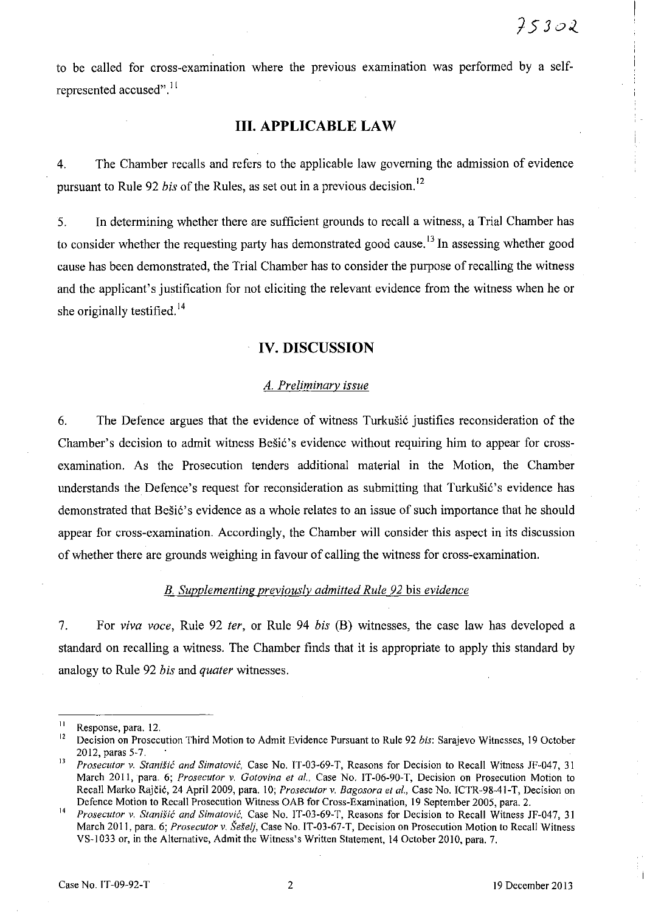to be called for cross-examination where the previous examination was performed by a selfrepresented accused".<sup>11</sup>

# **Ill. APPLICABLE LAW**

4. The Chamber recalls and refers to the applicable law governing the admission of evidence pursuant to Rule 92 *his* of the Rules, as set out in a previous decision. 12

5. In determining whether there are sufficient grounds to recall a witness, a Trial Chamber has to consider whether the requesting party has demonstrated good cause.<sup>13</sup> In assessing whether good cause has been demonstrated, the Trial Chamber has to consider the purpose of recalling the witness and the applicant's justification for not eliciting the relevant evidence from the witness when he or she originally testified.<sup>14</sup>

# **IV. DISCUSSION**

#### *A. Preliminary issue*

6. The Defence argues that the evidence of witness Turkust i justifies reconsideration of the Chamber's decision to admit witness Bešić's evidence without requiring him to appear for crossexamination. As the Prosecution tenders additional material in the Motion, the Chamber understands the Defence's request for reconsideration as submitting that Turkušić's evidence has demonstrated that Bešić's evidence as a whole relates to an issue of such importance that he should appear for cross-examination. Accordingly, the Chamber will consider this aspect in its discussion of whether there are grounds weighing in favour of calling the witness for cross-examination.

#### *B. Supplementing previously admitted Rule* 92 bis *evidence*

7. For *viva voce,* Rule 92 *ter,* or Rule 94 *his* (B) witnesses, the case law has developed a standard on recalling a witness. The Chamber finds that it is appropriate to apply this standard by analogy to Rule 92 *his* and *quater* witnesses.

 $\frac{11}{12}$  Response, para. 12.

<sup>12</sup> Decision on Prosecution Third Motion to Admit Evidence Pursuant to Rule 92 *bis:* Sarajevo Witnesses, 19 October 2012, paras 5-7.

<sup>&</sup>lt;sup>13</sup> Prosecutor v. Stanišić and Simatović, Case No. 1T-03-69-T, Reasons for Decision to Recall Witness JF-047, 31 March 2011, para. 6; *Prosecutor v. Gotovina et al.*, Case No. IT-06-90-T, Decision on Prosecution Motion to Recall Marko Rajčić, 24 April 2009, para. 10; Prosecutor v. Bagosora et al., Case No. ICTR-98-41-T, Decision on Defence Motion to Recall Prosecution Witness OAB for Cross-Examination, 19 September 2005, para. 2.

<sup>&</sup>lt;sup>14</sup> Prosecutor v. Stanišić and Simatović, Case No. IT-03-69-T, Reasons for Decision to Recall Witness JF-047, 31 March 2011, para. 6; *Prosecutor v. Šešelj*, Case No. IT-03-67-T, Decision on Prosecution Motion to Recall Witness VS-I033 or, in the Alternative, Admit the Witness's Written Statement, 14 October 2010, para. 7.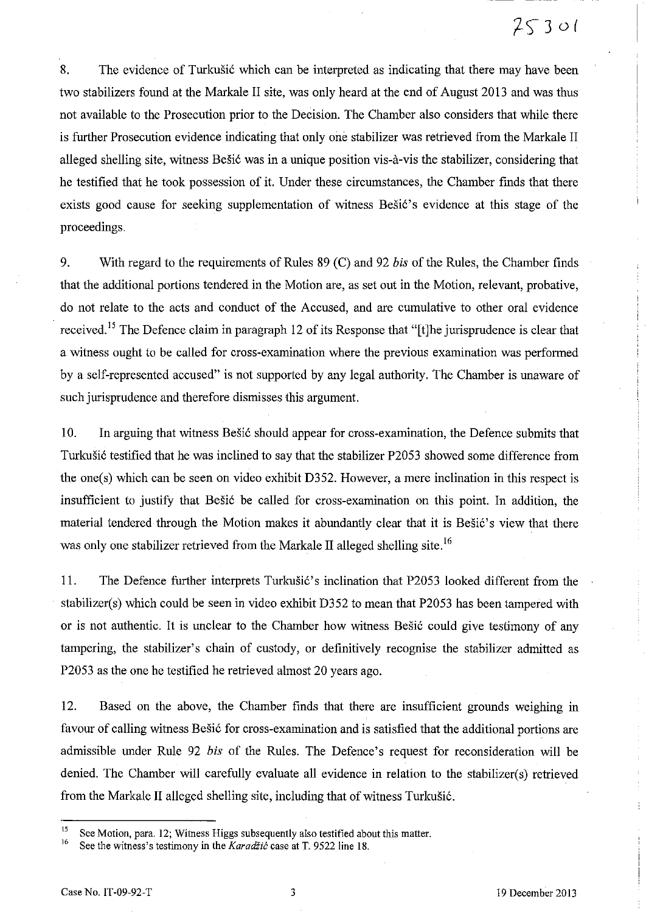8. The evidence of Turkušić which can be interpreted as indicating that there may have been two stabilizers found at the Markale II site, was only heard at the end of August 2013 and was thus not available to the Prosecution prior to the Decision. The Chamber also considers that while there is further Prosecution evidence indicating that only one stabilizer was retrieved from the Markale II alleged shelling site, witness Bešić was in a unique position vis-à-vis the stabilizer, considering that he testified that he took possession of it. Under these circumstances, the Chamber finds that there exists good cause for seeking supplementation of witness Bešić's evidence at this stage of the proceedings.

9. With regard to the requirements of Rules 89 (C) and 92 *his* of the Rules, the Chamber finds that the additional portions tendered in the Motion are, as set out in the Motion, relevant, probative, do not relate to the acts and conduct of the Accused, and are cumulative to other oral evidence received.<sup>15</sup> The Defence claim in paragraph 12 of its Response that "[t]he jurisprudence is clear that a witness ought to be called for cross-examination where the previous examination was performed by a self-represented accused" is not supported by any legal authority. The Chamber is unaware of such jurisprudence and therefore dismisses this argument.

10. In arguing that witness Best is should appear for cross-examination, the Defence submits that Turkušić testified that he was inclined to say that the stabilizer P2053 showed some difference from the one(s) which can be seen on video exhibit D352. However, a mere inclination in this respect is insufficient to justify that Bešić be called for cross-examination on this point. In addition, the material tendered through the Motion makes it abundantly clear that it is Bešić's view that there was only one stabilizer retrieved from the Markale II alleged shelling site.<sup>16</sup>

11. The Defence further interprets Turkušić's inclination that P2053 looked different from the stabilizer(s) which could be seen in video exhibit D352 to mean that P2053 has been tampered with or is not authentic. It is unclear to the Chamber how witness Bešić could give testimony of any tampering, the stabilizer's chain of custody, or definitively recognise the stabilizer admitted as P2053 as the one he testified he retrieved almost 20 years ago.

12. Based on the above, the Chamber finds that there are insufficient grounds weighing in favour of calling witness Bešić for cross-examination and is satisfied that the additional portions are admissible under Rule 92 *his* of the Rules. The Defence's request for reconsideration will be denied. The Chamber will carefully evaluate all evidence in relation to the stabilizer(s) retrieved from the Markale II alleged shelling site, including that of witness Turkušić.

<sup>&</sup>lt;sup>15</sup> See Motion, para. 12; Witness Higgs subsequently also testified about this matter.

See the witness's testimony in the *Karadžić* case at T. 9522 line 18.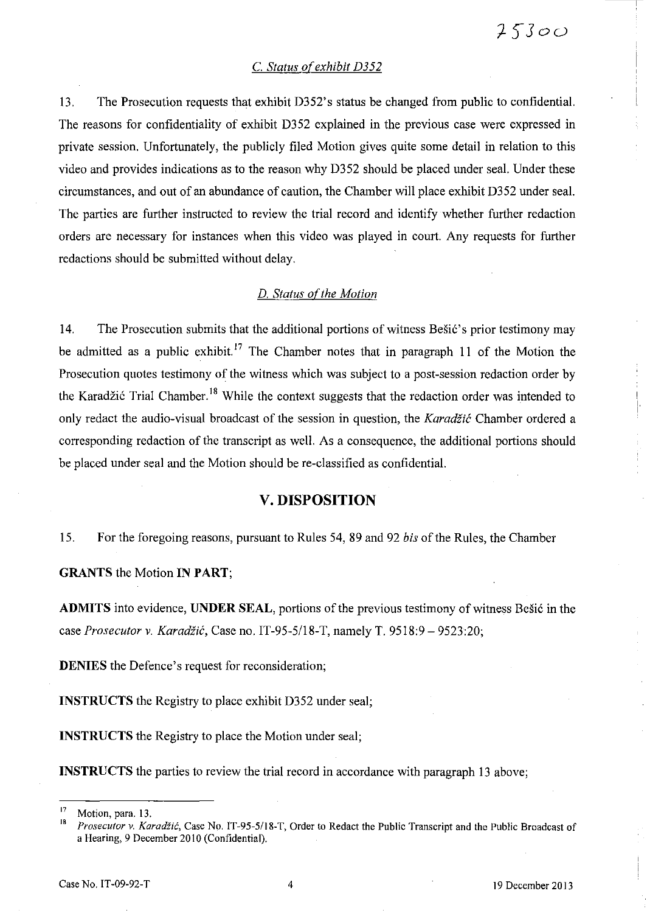### C. Status of exhibit D352

13. The Prosecution requests that exhibit D352's status be changed from public to confidential. The reasons for confidentiality of exhibit D352 explained in the previous case were expressed in private session. Unfortunately, the publicly filed Motion gives quite some detail in relation to this video and provides indications as to the reason why D352 should be placed under seal. Under these circumstances, and out of an abundance of caution, the Chamber will place exhibit D352 under seal. The parties are further instructed to review the trial record and identify whether further redaction orders are necessary for instances when this video was played in court. Any requests for further redactions should be submitted without delay.

### *D. Status of the Motion*

14. The Prosecution submits that the additional portions of witness Bešić's prior testimony may be admitted as a public exhibit.<sup>17</sup> The Chamber notes that in paragraph 11 of the Motion the Prosecution quotes testimony of the witness which was subject to a post-session redaction order by the Karadžić Trial Chamber.<sup>18</sup> While the context suggests that the redaction order was intended to only redact the audio-visual broadcast of the session in question, the *Karadžić* Chamber ordered a corresponding redaction of the transcript as well. As a consequence, the additional portions should be placed under seal and the Motion should be re-classified as confidential.

### V. **DISPOSITION**

15. For the foregoing reasons, pursuant to Rules 54, 89 and 92 *bis* of the Rules, the Chamber

GRANTS the Motion IN PART;

ADMITS into evidence, UNDER SEAL, portions of the previous testimony of witness Bešić in the case *Prosecutor* v. *Karadiic,* Case *no.lT-95-5/18-T,* namely T. 9518:9 - 9523:20;

DENIES the Defence's request for reconsideration;

INSTRUCTS the Registry to place exhibit D352 under seal;

INSTRUCTS the Registry to place the Motion under seal;

INSTRUCTS the parties to review the trial record in accordance with paragraph 13 above;

 $\frac{17}{18}$  Motion, para. 13.

<sup>18</sup>*Prosecutor v. Karadiic,* Case No. IT-9S-S/I 8-T, Order to Redact the Public Transcript and the Public Broadcast of a Hearing, 9 December 2010 (Confidential).